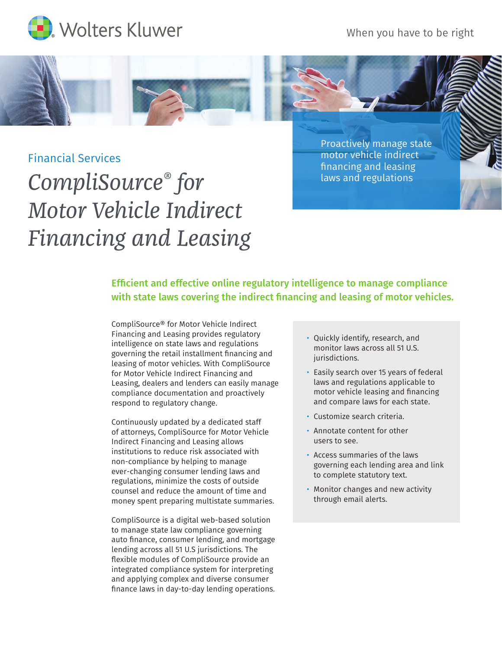

When you have to be right

## Financial Services

## *CompliSource® for Motor Vehicle Indirect Financing and Leasing*

Proactively manage state motor vehicle indirect financing and leasing laws and regulations

## Efficient and effective online regulatory intelligence to manage compliance with state laws covering the indirect financing and leasing of motor vehicles.

CompliSource® for Motor Vehicle Indirect Financing and Leasing provides regulatory intelligence on state laws and regulations governing the retail installment financing and leasing of motor vehicles. With CompliSource for Motor Vehicle Indirect Financing and Leasing, dealers and lenders can easily manage compliance documentation and proactively respond to regulatory change.

Continuously updated by a dedicated staff of attorneys, CompliSource for Motor Vehicle Indirect Financing and Leasing allows institutions to reduce risk associated with non-compliance by helping to manage ever-changing consumer lending laws and regulations, minimize the costs of outside counsel and reduce the amount of time and money spent preparing multistate summaries.

CompliSource is a digital web-based solution to manage state law compliance governing auto finance, consumer lending, and mortgage lending across all 51 U.S jurisdictions. The flexible modules of CompliSource provide an integrated compliance system for interpreting and applying complex and diverse consumer finance laws in day-to-day lending operations.

- Quickly identify, research, and monitor laws across all 51 U.S. iurisdictions.
- Easily search over 15 years of federal laws and regulations applicable to motor vehicle leasing and financing and compare laws for each state.
- Customize search criteria.
- Annotate content for other users to see.
- Access summaries of the laws governing each lending area and link to complete statutory text.
- Monitor changes and new activity through email alerts.